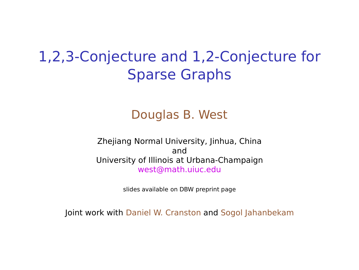## 1,2,3-Conjecture and 1,2-Conjecture for Sparse Graphs

#### Douglas B. West

Zhejiang Normal University, Jinhua, China and University of Illinois at Urbana-Champaign west@math.uiuc.edu

slides available on DBW preprint page

Joint work with Daniel W. Cranston and Sogol Jahanbekam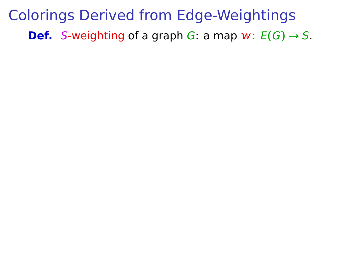Colorings Derived from Edge-Weightings **Def.** S-weighting of a graph G: a map  $w: E(G) \rightarrow S$ .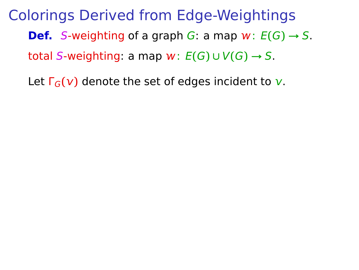Let  $\Gamma_G(v)$  denote the set of edges incident to v.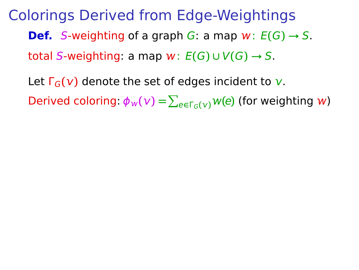Let  $\Gamma_G(v)$  denote the set of edges incident to v.  $\mathsf{Derived}$  coloring:  $\phi_w(\mathsf{v}) = \sum_{e \in \Gamma_G(\mathsf{v})} w(e)$  (for weighting  $w$ )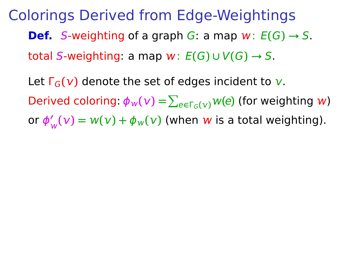Let  $\Gamma_G(v)$  denote the set of edges incident to v.  $\mathsf{Derived}$  coloring:  $\phi_w(\mathsf{v}) = \sum_{e \in \Gamma_G(\mathsf{v})} w(e)$  (for weighting  $w$ ) or ϕ **′**  $\gamma_w'(\nu) = w(\nu) + \phi_w(\nu)$  (when  $w$  is a total weighting).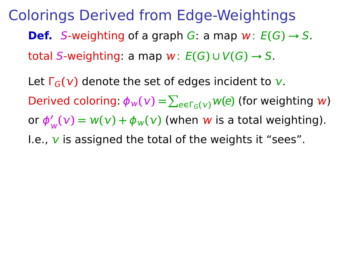Let  $\Gamma_G(v)$  denote the set of edges incident to v.  $\mathsf{Derived}$  coloring:  $\phi_w(\mathsf{v}) = \sum_{e \in \Gamma_G(\mathsf{v})} w(e)$  (for weighting  $w$ ) or ϕ **′**  $\gamma_w'(\nu) = w(\nu) + \phi_w(\nu)$  (when  $w$  is a total weighting). I.e.,  $\bf{v}$  is assigned the total of the weights it "sees".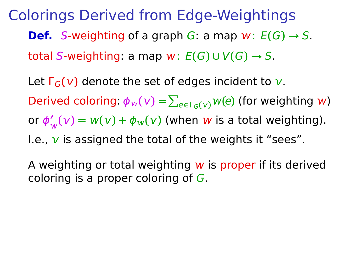Let  $\Gamma_G(v)$  denote the set of edges incident to v.  $\mathsf{Derived}$  coloring:  $\phi_w(\mathsf{v}) = \sum_{e \in \Gamma_G(\mathsf{v})} w(e)$  (for weighting  $w$ ) or ϕ **′**  $\gamma_w'(\nu) = w(\nu) + \phi_w(\nu)$  (when  $w$  is a total weighting). I.e.,  $\bf{v}$  is assigned the total of the weights it "sees".

A weighting or total weighting  $w$  is proper if its derived coloring is a proper coloring of  $G$ .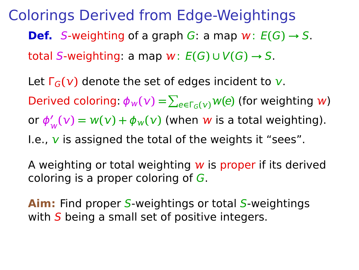Let  $\Gamma_G(v)$  denote the set of edges incident to v.  $\mathsf{Derived}$  coloring:  $\phi_w(\mathsf{v}) = \sum_{e \in \Gamma_G(\mathsf{v})} w(e)$  (for weighting  $w$ ) or ϕ **′**  $\gamma_w'(\nu) = w(\nu) + \phi_w(\nu)$  (when  $w$  is a total weighting). I.e.,  $\bf{v}$  is assigned the total of the weights it "sees".

A weighting or total weighting  $w$  is proper if its derived coloring is a proper coloring of G.

**Aim:** Find proper S-weightings or total S-weightings with  $S$  being a small set of positive integers.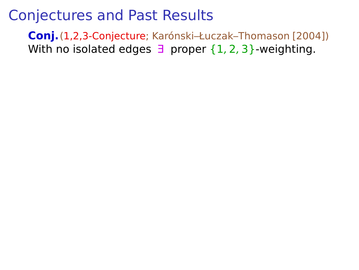**Conj.**(1,2,3-Conjecture; Karónski–Łuczak–Thomason [2004]) With no isolated edges  $\exists$  proper  $\{1, 2, 3\}$ -weighting.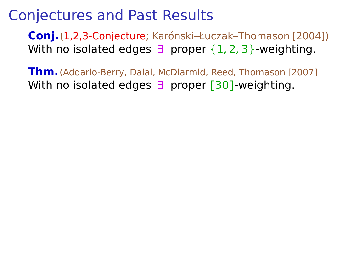**Conj.**(1,2,3-Conjecture; Karónski–Łuczak–Thomason [2004]) With no isolated edges  $\exists$  proper  $\{1, 2, 3\}$ -weighting.

**Thm.**(Addario-Berry, Dalal, McDiarmid, Reed, Thomason [2007] With no isolated edges ∃ proper **[**30**]**-weighting.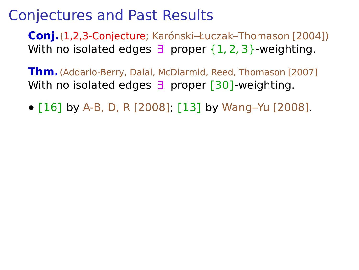**Conj.**(1,2,3-Conjecture; Karónski–Łuczak–Thomason [2004]) With no isolated edges  $\exists$  proper  $\{1, 2, 3\}$ -weighting.

**Thm.**(Addario-Berry, Dalal, McDiarmid, Reed, Thomason [2007] With no isolated edges ∃ proper **[**30**]**-weighting.

**• [**16**]** by A-B, D, R [2008]; **[**13**]** by Wang–Yu [2008].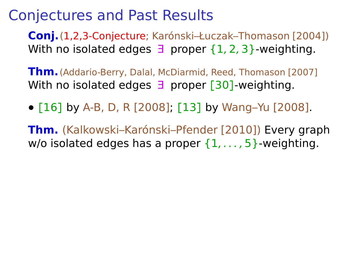**Conj.**(1,2,3-Conjecture; Karónski–Łuczak–Thomason [2004]) With no isolated edges  $\exists$  proper  $\{1, 2, 3\}$ -weighting.

**Thm.**(Addario-Berry, Dalal, McDiarmid, Reed, Thomason [2007] With no isolated edges ∃ proper **[**30**]**-weighting.

**• [**16**]** by A-B, D, R [2008]; **[**13**]** by Wang–Yu [2008].

**Thm.** (Kalkowski–Karónski–Pfender [2010]) Every graph w/o isolated edges has a proper  $\{1, \ldots, 5\}$ -weighting.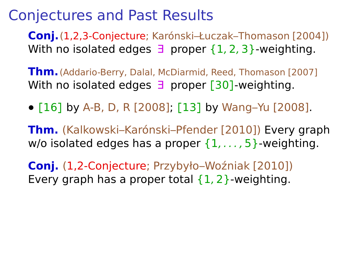**Conj.**(1,2,3-Conjecture; Karónski–Łuczak–Thomason [2004]) With no isolated edges  $\exists$  proper  $\{1, 2, 3\}$ -weighting.

**Thm.**(Addario-Berry, Dalal, McDiarmid, Reed, Thomason [2007] With no isolated edges ∃ proper **[**30**]**-weighting.

**• [**16**]** by A-B, D, R [2008]; **[**13**]** by Wang–Yu [2008].

**Thm.** (Kalkowski–Karónski–Pfender [2010]) Every graph w/o isolated edges has a proper  $\{1, \ldots, 5\}$ -weighting.

**Conj.** (1,2-Conjecture; Przybyło–Woźniak [2010]) Every graph has a proper total  $\{1,2\}$ -weighting.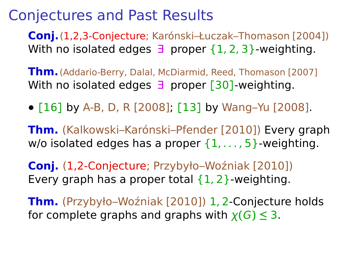**Conj.**(1,2,3-Conjecture; Karónski–Łuczak–Thomason [2004]) With no isolated edges  $\exists$  proper  $\{1, 2, 3\}$ -weighting.

**Thm.**(Addario-Berry, Dalal, McDiarmid, Reed, Thomason [2007] With no isolated edges ∃ proper **[**30**]**-weighting.

**• [**16**]** by A-B, D, R [2008]; **[**13**]** by Wang–Yu [2008].

**Thm.** (Kalkowski–Karónski–Pfender [2010]) Every graph w/o isolated edges has a proper  $\{1, \ldots, 5\}$ -weighting.

**Conj.** (1,2-Conjecture; Przybyło–Woźniak [2010]) Every graph has a proper total  $\{1,2\}$ -weighting.

**Thm.** (Przybyło–Woźniak [2010]) 1, 2-Conjecture holds for complete graphs and graphs with  $\chi(G) \leq 3$ .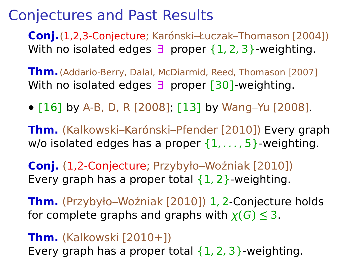**Conj.**(1,2,3-Conjecture; Karónski–Łuczak–Thomason [2004]) With no isolated edges  $\exists$  proper  $\{1, 2, 3\}$ -weighting.

**Thm.**(Addario-Berry, Dalal, McDiarmid, Reed, Thomason [2007] With no isolated edges ∃ proper **[**30**]**-weighting.

**• [**16**]** by A-B, D, R [2008]; **[**13**]** by Wang–Yu [2008].

**Thm.** (Kalkowski–Karónski–Pfender [2010]) Every graph w/o isolated edges has a proper  $\{1, \ldots, 5\}$ -weighting.

**Conj.** (1,2-Conjecture; Przybyło–Woźniak [2010]) Every graph has a proper total  $\{1, 2\}$ -weighting.

**Thm.** (Przybyło–Woźniak [2010]) 1, 2-Conjecture holds for complete graphs and graphs with  $\chi(G) \leq 3$ .

#### **Thm.** (Kalkowski [2010+])

Every graph has a proper total  $\{1, 2, 3\}$ -weighting.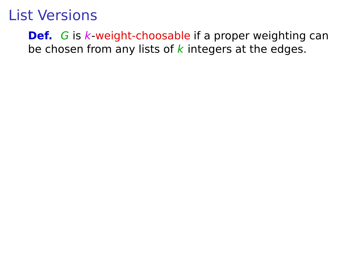**Def.** G is k-weight-choosable if a proper weighting can be chosen from any lists of  $k$  integers at the edges.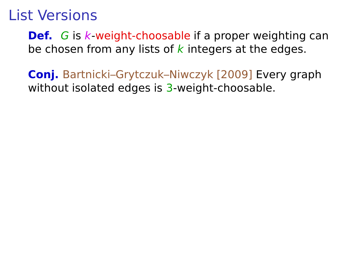**Def.** G is k-weight-choosable if a proper weighting can be chosen from any lists of  $k$  integers at the edges.

**Conj.** Bartnicki–Grytczuk–Niwczyk [2009] Every graph without isolated edges is 3-weight-choosable.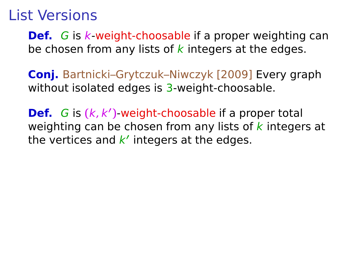**Def.** G is k-weight-choosable if a proper weighting can be chosen from any lists of  $k$  integers at the edges.

**Conj.** Bartnicki–Grytczuk–Niwczyk [2009] Every graph without isolated edges is 3-weight-choosable.

**Def.** G is **(**k, k**′ )**-weight-choosable if a proper total weighting can be chosen from any lists of  $k$  integers at the vertices and k' integers at the edges.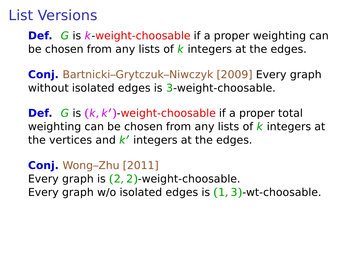**Def.** G is k-weight-choosable if a proper weighting can be chosen from any lists of  $k$  integers at the edges.

**Conj.** Bartnicki–Grytczuk–Niwczyk [2009] Every graph without isolated edges is 3-weight-choosable.

**Def.** G is **(**k, k**′ )**-weight-choosable if a proper total weighting can be chosen from any lists of  $k$  integers at the vertices and k' integers at the edges.

**Conj.** Wong–Zhu [2011] Every graph is **(**2, 2**)**-weight-choosable. Every graph w/o isolated edges is **(**1, 3**)**-wt-choosable.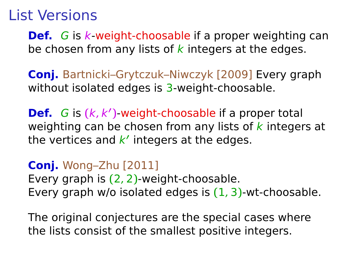**Def.** G is k-weight-choosable if a proper weighting can be chosen from any lists of  $k$  integers at the edges.

**Conj.** Bartnicki–Grytczuk–Niwczyk [2009] Every graph without isolated edges is 3-weight-choosable.

**Def.** G is **(**k, k**′ )**-weight-choosable if a proper total weighting can be chosen from any lists of  $k$  integers at the vertices and k' integers at the edges.

**Conj.** Wong–Zhu [2011] Every graph is **(**2, 2**)**-weight-choosable. Every graph w/o isolated edges is **(**1, 3**)**-wt-choosable.

The original conjectures are the special cases where the lists consist of the smallest positive integers.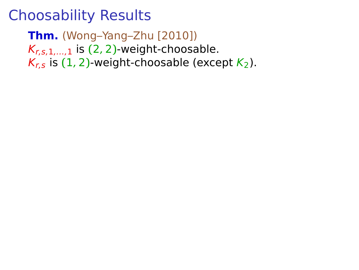**Thm.** (Wong–Yang–Zhu [2010])  $K_{r,s,1,\dots,1}$  is (2, 2)-weight-choosable.  $K_{r,s}$  is (1, 2)-weight-choosable (except  $K_2$ ).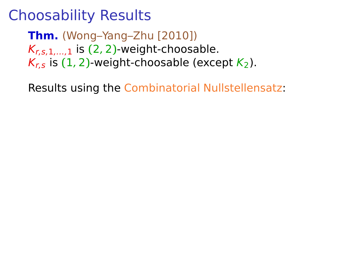**Thm.** (Wong–Yang–Zhu [2010])  $K_{r,s,1,\dots,1}$  is (2, 2)-weight-choosable.  $K_r$ , is (1, 2)-weight-choosable (except  $K_2$ ).

Results using the Combinatorial Nullstellensatz: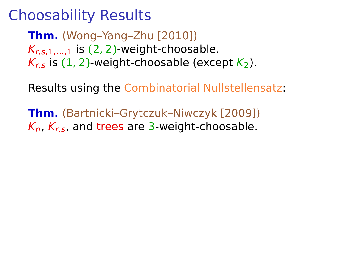**Thm.** (Wong–Yang–Zhu [2010])  $K_{r,s,1,\dots,1}$  is (2, 2)-weight-choosable.  $K_r$ , is (1, 2)-weight-choosable (except  $K_2$ ).

Results using the Combinatorial Nullstellensatz:

**Thm.** (Bartnicki–Grytczuk–Niwczyk [2009])  $K_n$ ,  $K_r$ , and trees are 3-weight-choosable.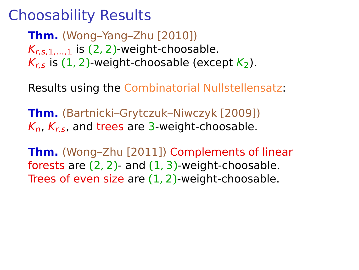**Thm.** (Wong–Yang–Zhu [2010])  $K_{r,s,1,\dots,1}$  is (2, 2)-weight-choosable.  $K_r$ , is (1, 2)-weight-choosable (except  $K_2$ ).

Results using the Combinatorial Nullstellensatz:

**Thm.** (Bartnicki–Grytczuk–Niwczyk [2009])  $K_n$ ,  $K_r$ , and trees are 3-weight-choosable.

**Thm.** (Wong–Zhu [2011]) Complements of linear forests are **(**2, 2**)**- and **(**1, 3**)**-weight-choosable. Trees of even size are **(**1, 2**)**-weight-choosable.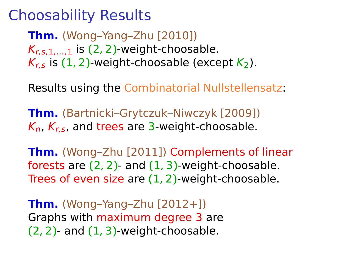**Thm.** (Wong–Yang–Zhu [2010])  $K_{r,s,1,\dots,1}$  is (2, 2)-weight-choosable.  $K_r$ , is (1, 2)-weight-choosable (except  $K_2$ ).

Results using the Combinatorial Nullstellensatz:

**Thm.** (Bartnicki–Grytczuk–Niwczyk [2009])  $K_n$ ,  $K_r$ , and trees are 3-weight-choosable.

**Thm.** (Wong–Zhu [2011]) Complements of linear forests are **(**2, 2**)**- and **(**1, 3**)**-weight-choosable. Trees of even size are **(**1, 2**)**-weight-choosable.

**Thm.** (Wong–Yang–Zhu [2012+]) Graphs with maximum degree 3 are **(**2, 2**)**- and **(**1, 3**)**-weight-choosable.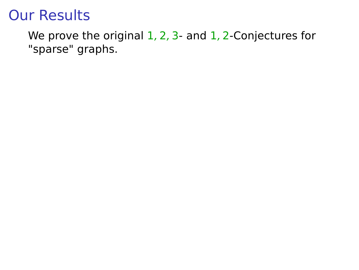We prove the original 1, 2, 3- and 1, 2-Conjectures for "sparse" graphs.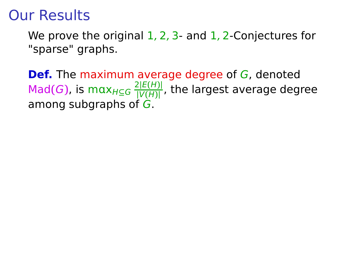We prove the original  $1, 2, 3$ - and  $1, 2$ -Conjectures for "sparse" graphs.

**Def.** The maximum average degree of G, denoted  $\mathsf{Mad}(G)$ , is max $_{H \subseteq G} \frac{2|E(H)|}{|V(H)|}$ **|**V**(**H**)|** , the largest average degree among subgraphs of G.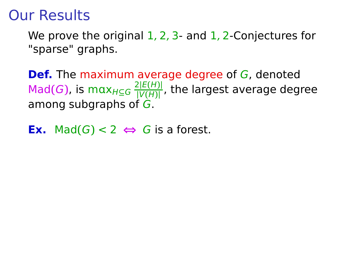We prove the original  $1, 2, 3$ - and  $1, 2$ -Conjectures for "sparse" graphs.

**Def.** The maximum average degree of G, denoted  $\mathsf{Mad}(G)$ , is max $_{H \subseteq G} \frac{2|E(H)|}{|V(H)|}$ **|**V**(**H**)|** , the largest average degree among subgraphs of G.

**Ex.** Mad(*G*) < 2 ⇔ *G* is a forest.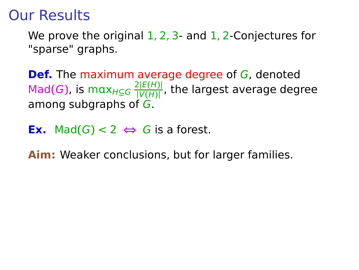We prove the original  $1, 2, 3$ - and  $1, 2$ -Conjectures for "sparse" graphs.

**Def.** The maximum average degree of G, denoted  $\mathsf{Mad}(G)$ , is max $_{H \subseteq G} \frac{2|E(H)|}{|V(H)|}$ **|**V**(**H**)|** , the largest average degree among subgraphs of G.

**Ex.** Mad(*G*) < 2 ⇔ *G* is a forest.

**Aim:** Weaker conclusions, but for larger families.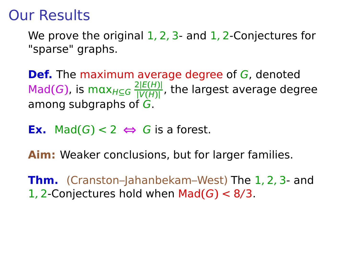We prove the original  $1, 2, 3$ - and  $1, 2$ -Conjectures for "sparse" graphs.

**Def.** The maximum average degree of G, denoted  $\mathsf{Mad}(G)$ , is max $_{H \subseteq G} \frac{2|E(H)|}{|V(H)|}$ **|**V**(**H**)|** , the largest average degree among subgraphs of G.

**Ex.** Mad $(G)$  < 2 ⇔ G is a forest.

**Aim:** Weaker conclusions, but for larger families.

**Thm.** (Cranston–Jahanbekam–West) The 1, 2, 3- and 1, 2-Conjectures hold when Mad**(**G**)** < 8/3.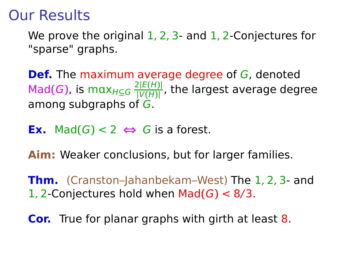We prove the original  $1, 2, 3$ - and  $1, 2$ -Conjectures for "sparse" graphs.

**Def.** The maximum average degree of G, denoted  $\mathsf{Mad}(G)$ , is max $_{H \subseteq G} \frac{2|E(H)|}{|V(H)|}$ **|**V**(**H**)|** , the largest average degree among subgraphs of G.

**Ex.** Mad $(G)$  < 2 ⇔ G is a forest.

**Aim:** Weaker conclusions, but for larger families.

**Thm.** (Cranston–Jahanbekam–West) The 1, 2, 3- and 1, 2-Conjectures hold when  $Mad(G) < 8/3$ .

**Cor.** True for planar graphs with girth at least 8.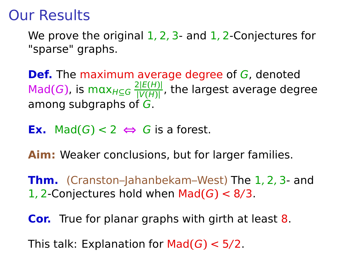We prove the original  $1, 2, 3$ - and  $1, 2$ -Conjectures for "sparse" graphs.

**Def.** The maximum average degree of G, denoted  $\mathsf{Mad}(G)$ , is max $_{H \subseteq G} \frac{2|E(H)|}{|V(H)|}$ **|**V**(**H**)|** , the largest average degree among subgraphs of G.

**Ex.** Mad $(G)$  < 2 ⇔ G is a forest.

**Aim:** Weaker conclusions, but for larger families.

**Thm.** (Cranston–Jahanbekam–West) The 1, 2, 3- and 1, 2-Conjectures hold when Mad**(**G**)** < 8/3.

**Cor.** True for planar graphs with girth at least 8.

This talk: Explanation for Mad**(**G**)** < 5/2.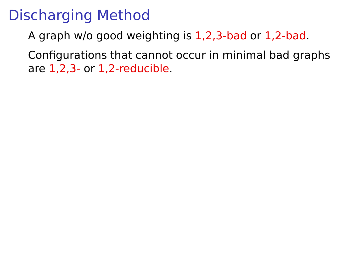# Discharging Method

A graph w/o good weighting is 1,2,3-bad or 1,2-bad.

Configurations that cannot occur in minimal bad graphs are 1,2,3- or 1,2-reducible.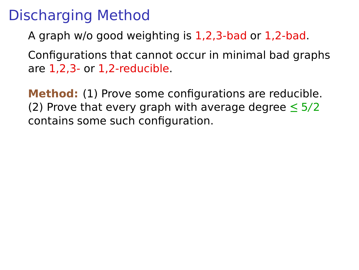# Discharging Method

A graph w/o good weighting is 1,2,3-bad or 1,2-bad.

Configurations that cannot occur in minimal bad graphs are 1,2,3- or 1,2-reducible.

**Method:** (1) Prove some configurations are reducible. (2) Prove that every graph with average degree **≤** 5/2 contains some such configuration.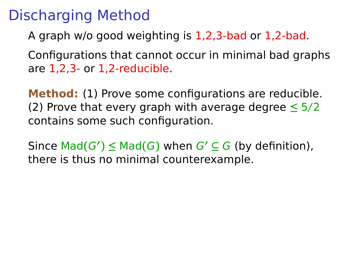# Discharging Method

A graph w/o good weighting is 1,2,3-bad or 1,2-bad.

Configurations that cannot occur in minimal bad graphs are 1,2,3- or 1,2-reducible.

**Method:** (1) Prove some configurations are reducible. (2) Prove that every graph with average degree **≤** 5/2 contains some such configuration.

Since  $\text{Mad}(G') \leq \text{Mad}(G)$  when  $G' \subseteq G$  (by definition), there is thus no minimal counterexample.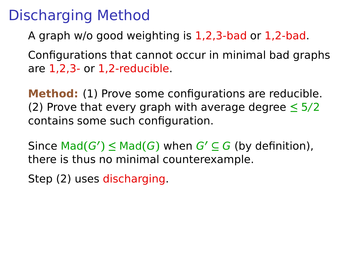A graph w/o good weighting is 1,2,3-bad or 1,2-bad.

Configurations that cannot occur in minimal bad graphs are 1,2,3- or 1,2-reducible.

**Method:** (1) Prove some configurations are reducible. (2) Prove that every graph with average degree **≤** 5/2 contains some such configuration.

Since  $\text{Mad}(G') \leq \text{Mad}(G)$  when  $G' \subseteq G$  (by definition), there is thus no minimal counterexample.

Step (2) uses discharging.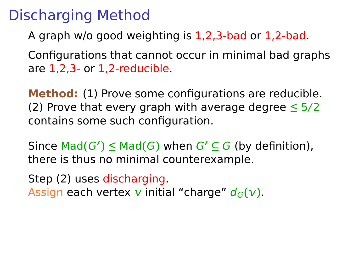A graph w/o good weighting is 1,2,3-bad or 1,2-bad.

Configurations that cannot occur in minimal bad graphs are 1,2,3- or 1,2-reducible.

**Method:** (1) Prove some configurations are reducible. (2) Prove that every graph with average degree **≤** 5/2 contains some such configuration.

Since  $\text{Mad}(G') \leq \text{Mad}(G)$  when  $G' \subseteq G$  (by definition), there is thus no minimal counterexample.

Step (2) uses discharging.

Assign each vertex  $v$  initial "charge"  $d_G(v)$ .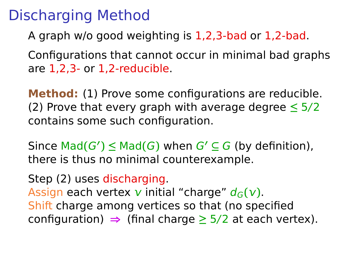A graph w/o good weighting is 1,2,3-bad or 1,2-bad.

Configurations that cannot occur in minimal bad graphs are 1,2,3- or 1,2-reducible.

**Method:** (1) Prove some configurations are reducible. (2) Prove that every graph with average degree **≤** 5/2 contains some such configuration.

Since  $\text{Mad}(G') \leq \text{Mad}(G)$  when  $G' \subseteq G$  (by definition), there is thus no minimal counterexample.

Step (2) uses discharging.

Assign each vertex  $v$  initial "charge"  $d_G(v)$ . Shift charge among vertices so that (no specified configuration) **⇒** (final charge **≥** 5/2 at each vertex).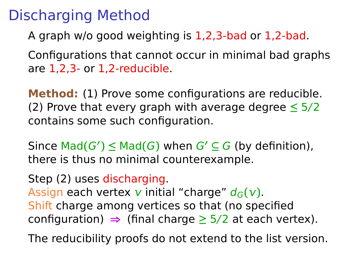A graph w/o good weighting is 1,2,3-bad or 1,2-bad.

Configurations that cannot occur in minimal bad graphs are 1,2,3- or 1,2-reducible.

**Method:** (1) Prove some configurations are reducible. (2) Prove that every graph with average degree **≤** 5/2 contains some such configuration.

Since  $\text{Mad}(G') \leq \text{Mad}(G)$  when  $G' \subseteq G$  (by definition), there is thus no minimal counterexample.

Step (2) uses discharging.

Assign each vertex  $v$  initial "charge"  $d_G(v)$ . Shift charge among vertices so that (no specified configuration) **⇒** (final charge **≥** 5/2 at each vertex).

The reducibility proofs do not extend to the list version.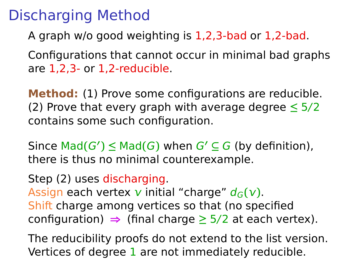A graph w/o good weighting is 1,2,3-bad or 1,2-bad.

Configurations that cannot occur in minimal bad graphs are 1,2,3- or 1,2-reducible.

**Method:** (1) Prove some configurations are reducible. (2) Prove that every graph with average degree **≤** 5/2 contains some such configuration.

Since  $\text{Mad}(G') \leq \text{Mad}(G)$  when  $G' \subseteq G$  (by definition), there is thus no minimal counterexample.

Step (2) uses discharging.

Assign each vertex  $v$  initial "charge"  $d_G(v)$ . Shift charge among vertices so that (no specified configuration) **⇒** (final charge **≥** 5/2 at each vertex).

The reducibility proofs do not extend to the list version. Vertices of degree 1 are not immediately reducible.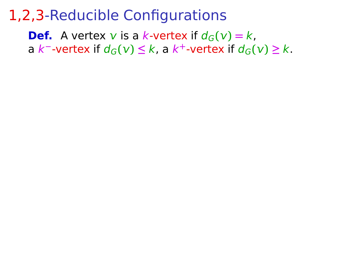**Def.** A vertex **v** is a k-vertex if  $d_G(v) = k$ , **a**  $k^-$ -vertex if  $d_G(v)$  ≤  $k$ , a  $k^+$ -vertex if  $d_G(v)$  ≥  $k$ .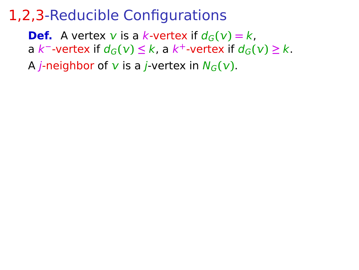**Def.** A vertex **v** is a k-vertex if  $d_G(v) = k$ , **a**  $k^-$ -vertex if  $d_G(v)$  ≤  $k$ , a  $k^+$ -vertex if  $d_G(v)$  ≥  $k$ .

A *j*-neighbor of  $v$  is a *j*-vertex in  $N_G(v)$ .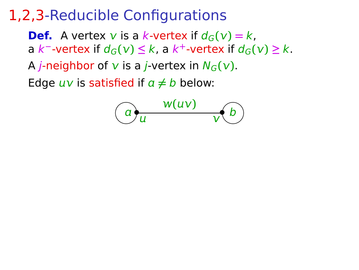**Def.** A vertex **v** is a k-vertex if  $d_G(v) = k$ , **a**  $k^-$ -vertex if  $d_G(v)$  ≤  $k$ , a  $k^+$ -vertex if  $d_G(v)$  ≥  $k$ .

A *j*-neighbor of  $v$  is a *j*-vertex in  $N_G(v)$ .

Edge  $uv$  is satisfied if  $a \neq b$  below:

$$
\bigcirc a
$$
<sub>u</sub>  $\frac{w(uv)}{v(b)}$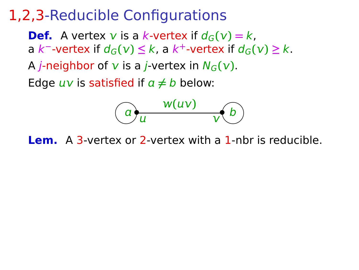**Def.** A vertex **v** is a k-vertex if  $d_G(v) = k$ , **a**  $k^-$ -vertex if  $d_G(v)$  ≤  $k$ , a  $k^+$ -vertex if  $d_G(v)$  ≥  $k$ .

A *j*-neighbor of  $v$  is a *j*-vertex in  $N_G(v)$ .

Edge  $uv$  is satisfied if  $a \neq b$  below:

$$
\bigodot_{u}\frac{w(uv)}{v(b)}
$$

**Lem.** A 3-vertex or 2-vertex with a 1-nbr is reducible.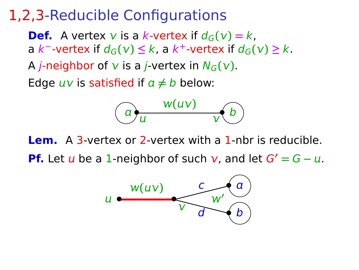**Def.** A vertex **v** is a k-vertex if  $d_G(v) = k$ , **a**  $k^-$ -vertex if  $d_G(v)$  ≤  $k$ , a  $k^+$ -vertex if  $d_G(v)$  ≥  $k$ . A *j*-neighbor of  $v$  is a *j*-vertex in  $N_G(v)$ .

Edge  $uv$  is satisfied if  $a \neq b$  below:



**Lem.** A 3-vertex or 2-vertex with a 1-nbr is reducible. **Pf.** Let  $u$  be a 1-neighbor of such  $v$ , and let  $G' = G - u$ .

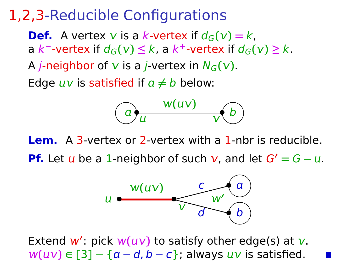**Def.** A vertex **v** is a k-vertex if  $d_G(v) = k$ , **a**  $k^-$ -vertex if  $d_G(v)$  ≤  $k$ , a  $k^+$ -vertex if  $d_G(v)$  ≥  $k$ . A *j*-neighbor of  $v$  is a *j*-vertex in  $N_G(v)$ .

Edge  $uv$  is satisfied if  $a \neq b$  below:



**Lem.** A 3-vertex or 2-vertex with a 1-nbr is reducible. **Pf.** Let  $u$  be a 1-neighbor of such  $v$ , and let  $G' = G - u$ .



Extend  $w'$ : pick  $w(uv)$  to satisfy other edge(s) at  $v$ .  $w(uv) \in [3] - {a-d, b-c}$ ; always  $uv$  is satisfied.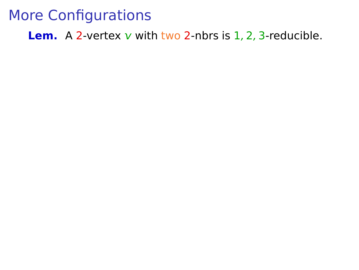**Lem.** A 2-vertex  $v$  with two 2-nbrs is  $1, 2, 3$ -reducible.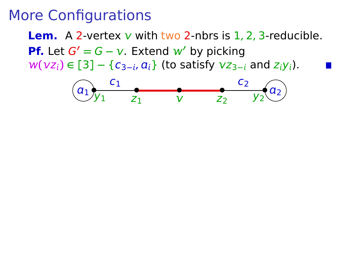**Lem.** A 2-vertex  $v$  with two 2-nbrs is  $1, 2, 3$ -reducible. **Pf.** Let  $G' = G - v$ . Extend  $w'$  by picking  $w(vz_i) \in [3] - {c_{3-i}, a_i}$  (to satisfy  $vz_{3-i}$  and  $z_iy_i$ ).

$$
(a_1)_{y_1} \t\t\t z_1 \t\t v \t\t\t z_2 \t\t\t y_2(a_2)
$$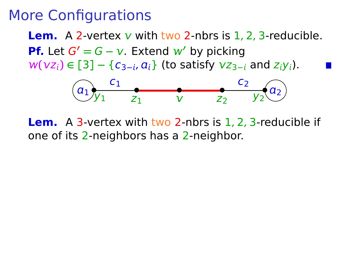**Lem.** A 2-vertex  $v$  with two 2-nbrs is 1, 2, 3-reducible. **Pf.** Let  $G' = G - v$ . Extend  $w'$  by picking  $w(vz_i) ∈ [3] − {c_{3-i}, a_i}$  (to satisfy  $vz_{3-i}$  and  $z_iy_i$ ).



**Lem.** A 3-vertex with two 2-nbrs is 1, 2, 3-reducible if one of its 2-neighbors has a 2-neighbor.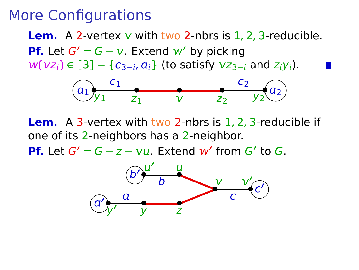**Lem.** A 2-vertex  $v$  with two 2-nbrs is 1, 2, 3-reducible. **Pf.** Let  $G' = G - v$ . Extend  $w'$  by picking  $W(vz_i) ∈ [3] − {c_{3-i}, a_i}$  (to satisfy  $vz_{3-i}$  and  $z_iy_i$ ).



**Lem.** A 3-vertex with two 2-nbrs is 1, 2, 3-reducible if one of its 2-neighbors has a 2-neighbor. **Pf.** Let  $G' = G - z - \nu u$ . Extend  $w'$  from  $G'$  to  $G$ .

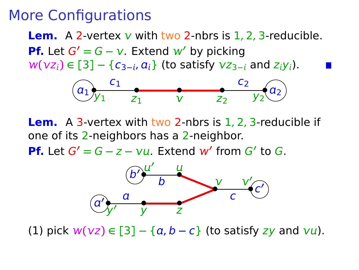**Lem.** A 2-vertex  $v$  with two 2-nbrs is 1, 2, 3-reducible. **Pf.** Let  $G' = G - v$ . Extend  $w'$  by picking  $W(vz_i) ∈ [3] − {c_{3-i}, a_i}$  (to satisfy  $vz_{3-i}$  and  $z_iy_i$ ).



**Lem.** A 3-vertex with two 2-nbrs is 1, 2, 3-reducible if one of its 2-neighbors has a 2-neighbor.

**Pf.** Let  $G' = G - z - \nu u$ . Extend  $w'$  from  $G'$  to  $G$ .



(1) pick  $w(vz) ∈ [3] – {a, b – c}$  (to satisfy zy and  $vu$ ).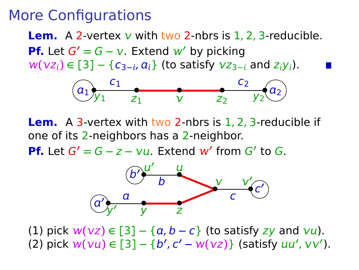**Lem.** A 2-vertex  $v$  with two 2-nbrs is 1, 2, 3-reducible. **Pf.** Let  $G' = G - v$ . Extend  $w'$  by picking  $W(vz_i) ∈ [3] − {c_{3-i}, a_i}$  (to satisfy  $vz_{3-i}$  and  $z_iy_i$ ).



**Lem.** A 3-vertex with two 2-nbrs is 1, 2, 3-reducible if one of its 2-neighbors has a 2-neighbor.

**Pf.** Let  $G' = G - z - \nu u$ . Extend  $w'$  from  $G'$  to  $G$ .



 $(1)$  pick  $w(vz) ∈ [3] – {a, b – c}$  (to satisfy zy and  $vu$ ). (2) pick  $w(vu) \in [3] - {b', c' - w(vz)}$  (satisfy  $uu', vv'$ ).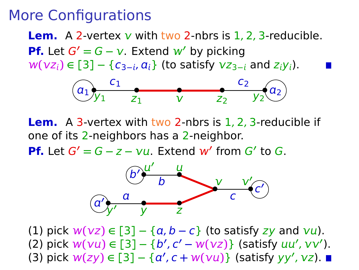**Lem.** A 2-vertex  $v$  with two 2-nbrs is 1, 2, 3-reducible. **Pf.** Let  $G' = G - v$ . Extend  $w'$  by picking  $W(vz_i) ∈ [3] − {c_{3-i}, a_i}$  (to satisfy  $vz_{3-i}$  and  $z_iy_i$ ).



**Lem.** A 3-vertex with two 2-nbrs is 1, 2, 3-reducible if one of its 2-neighbors has a 2-neighbor.

**Pf.** Let  $G' = G - z - \nu u$ . Extend  $w'$  from  $G'$  to  $G$ .



 $(1)$  pick  $w(vz) \in [3] - \{a, b - c\}$  (to satisfy zy and  $vu$ ). (2) pick  $w(vu) \in [3] - {b', c' - w(vz)}$  (satisfy  $uu', vv'$ ).  $(3)$  pick  $w(zy) \in [3] - {a', c + w(vu)}$  (satisfy yy', vz).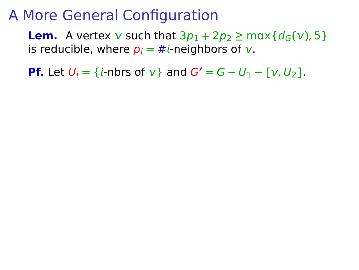**Lem.** A vertex  $v$  such that  $3p_1 + 2p_2 \ge \max\{d_G(v), 5\}$ is reducible, where  $p_i = \#i$ -neighbors of v.

**Pf.** Let  $U_i = \{i\text{-}n\}$  of  $v_i$  and  $G' = G - U_1 - [v, U_2]$ .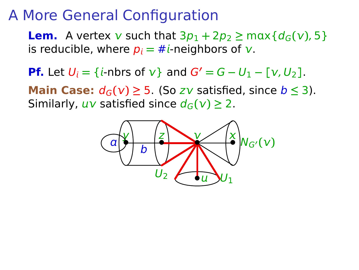**Lem.** A vertex  $v$  such that  $3p_1 + 2p_2 \ge \max\{d_G(v), 5\}$ is reducible, where  $p_i = #i$ -neighbors of  $v$ .

**Pf.** Let  $U_i = \{i\text{-}n\}$  of  $v_i$  and  $G' = G - U_1 - [v, U_2]$ .

**Main Case:**  $d_G(v) ≥ 5$ . (So zv satisfied, since  $b ≤ 3$ ). Similarly,  $uv$  satisfied since  $d_G(v) \geq 2$ .

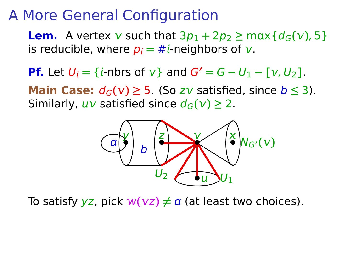**Lem.** A vertex  $v$  such that  $3p_1 + 2p_2 \ge \max\{d_G(v), 5\}$ is reducible, where  $p_i = #i$ -neighbors of  $v$ .

**Pf.** Let  $U_i = \{i\text{-}n\}$  of  $v_i$  and  $G' = G - U_1 - [v, U_2]$ .

**Main Case:**  $d_G(v) ≥ 5$ . (So zv satisfied, since  $b ≤ 3$ ). Similarly,  $uv$  satisfied since  $d_G(v) \geq 2$ .



To satisfy  $yz$ , pick  $w(yz) \neq a$  (at least two choices).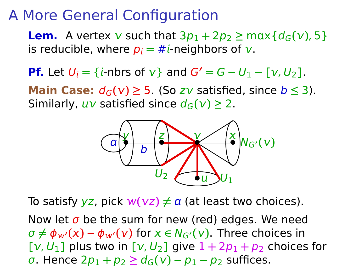**Lem.** A vertex  $v$  such that  $3p_1 + 2p_2 \ge \max\{d_G(v), 5\}$ is reducible, where  $p_i = \#i$ -neighbors of v.

**Pf.** Let  $U_i = \{i\text{-}n\}$  of  $v\}$  and  $G' = G - U_1 - [v, U_2]$ .

**Main Case:**  $d_G(v) ≥ 5$ . (So zv satisfied, since  $b ≤ 3$ ). Similarly,  $uv$  satisfied since  $d_G(v) \geq 2$ .



To satisfy  $yz$ , pick  $w(vz) \neq a$  (at least two choices). Now let  $\sigma$  be the sum for new (red) edges. We need  $\sigma \neq \phi_{w'}(x) - \phi_{w'}(y)$  for  $x \in N_{G'}(y)$ . Three choices in  $[V, U_1]$  plus two in  $[V, U_2]$  give  $1 + 2p_1 + p_2$  choices for  $\sigma$ . Hence  $2p_1 + p_2 \geq d_G(v) - p_1 - p_2$  suffices.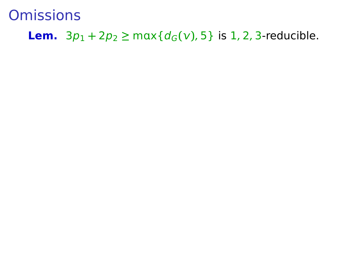**Lem.**  $3p_1 + 2p_2 \ge \max\{d_G(v), 5\}$  is 1, 2, 3-reducible.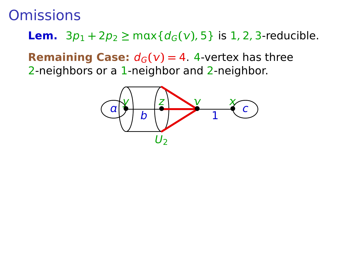**Lem.**  $3p_1 + 2p_2 \ge \max\{d_G(v), 5\}$  is 1, 2, 3-reducible.

**Remaining Case:**  $d_G(v) = 4$ . 4-vertex has three 2-neighbors or a 1-neighbor and 2-neighbor.

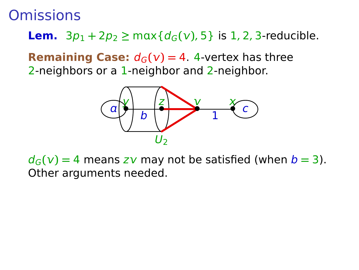**Lem.**  $3p_1 + 2p_2 \ge \max\{d_G(v), 5\}$  is 1, 2, 3-reducible.

**Remaining Case:**  $d_G(v) = 4$ . 4-vertex has three 2-neighbors or a 1-neighbor and 2-neighbor.



 $d_G(v) = 4$  means zv may not be satisfied (when  $b = 3$ ). Other arguments needed.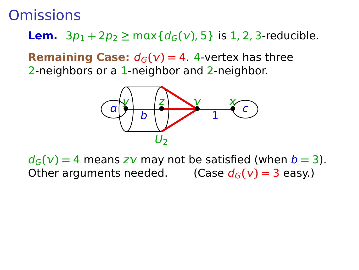**Lem.**  $3p_1 + 2p_2 \ge \max\{d_G(v), 5\}$  is 1, 2, 3-reducible.

**Remaining Case:**  $d_G(v) = 4$ . 4-vertex has three 2-neighbors or a 1-neighbor and 2-neighbor.



 $d_G(v) = 4$  means zv may not be satisfied (when  $b = 3$ ). Other arguments needed. **(Case**  $d_G(v) = 3$  **easy.)**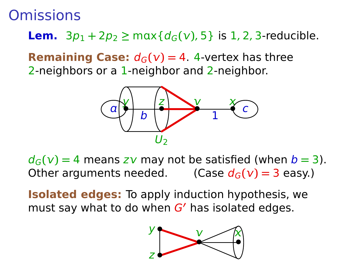**Lem.**  $3p_1 + 2p_2 \ge \max\{d_G(v), 5\}$  is 1, 2, 3-reducible.

**Remaining Case:**  $d_G(v) = 4$ . 4-vertex has three 2-neighbors or a 1-neighbor and 2-neighbor.



 $d_G(v) = 4$  means zv may not be satisfied (when  $b = 3$ ). Other arguments needed. **(Case**  $d_G(v) = 3$  **easy.)** 

**Isolated edges:** To apply induction hypothesis, we must say what to do when G**′** has isolated edges.

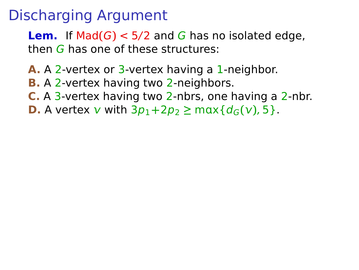**Lem.** If  $Mad(G) < 5/2$  and G has no isolated edge, then G has one of these structures:

- **A.** A 2-vertex or 3-vertex having a 1-neighbor.
- **B.** A 2-vertex having two 2-neighbors.
- **C.** A 3-vertex having two 2-nbrs, one having a 2-nbr.
- **D.** A vertex **v** with  $3p_1 + 2p_2 \ge \max\{d_G(v), 5\}$ .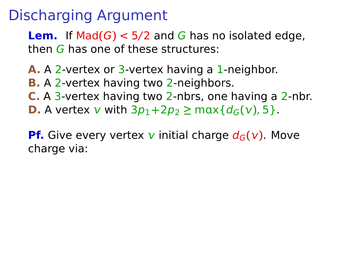**Lem.** If  $Mad(G) < 5/2$  and G has no isolated edge, then  $G$  has one of these structures:

- **A.** A 2-vertex or 3-vertex having a 1-neighbor.
- **B.** A 2-vertex having two 2-neighbors.
- **C.** A 3-vertex having two 2-nbrs, one having a 2-nbr.
- **D.** A vertex **v** with  $3p_1 + 2p_2 \ge \max\{d_G(v), 5\}$ .

**Pf.** Give every vertex v initial charge  $d_G(v)$ . Move charge via: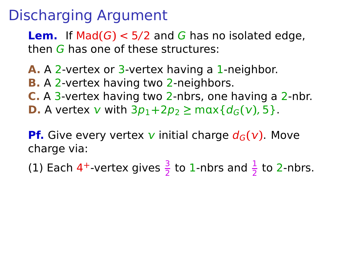**Lem.** If  $Mad(G) < 5/2$  and G has no isolated edge, then G has one of these structures:

- **A.** A 2-vertex or 3-vertex having a 1-neighbor.
- **B.** A 2-vertex having two 2-neighbors.
- **C.** A 3-vertex having two 2-nbrs, one having a 2-nbr.
- **D.** A vertex **v** with  $3p_1 + 2p_2 \ge \max\{d_G(v), 5\}$ .

**Pf.** Give every vertex v initial charge  $d_G(v)$ . Move charge via:

(1) Each 4<sup>+</sup>-vertex gives  $\frac{3}{2}$  to 1-nbrs and  $\frac{1}{2}$  to 2-nbrs.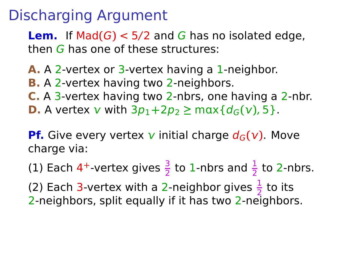**Lem.** If  $Mad(G) < 5/2$  and G has no isolated edge, then G has one of these structures:

- **A.** A 2-vertex or 3-vertex having a 1-neighbor.
- **B.** A 2-vertex having two 2-neighbors.
- **C.** A 3-vertex having two 2-nbrs, one having a 2-nbr.
- **D.** A vertex **v** with  $3p_1 + 2p_2 \ge \max\{d_G(v), 5\}$ .

**Pf.** Give every vertex v initial charge  $d_G(v)$ . Move charge via:

(1) Each 4<sup>+</sup>-vertex gives  $\frac{3}{2}$  to 1-nbrs and  $\frac{1}{2}$  to 2-nbrs.

(2) Each 3-vertex with a 2-neighbor gives  $\frac{1}{2}$  to its 2-neighbors, split equally if it has two 2-neighbors.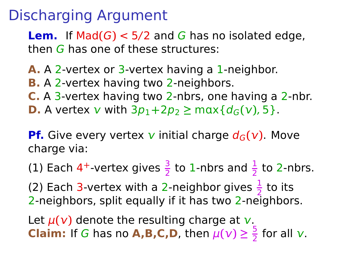**Lem.** If  $Mad(G) < 5/2$  and G has no isolated edge, then G has one of these structures:

- **A.** A 2-vertex or 3-vertex having a 1-neighbor.
- **B.** A 2-vertex having two 2-neighbors.
- **C.** A 3-vertex having two 2-nbrs, one having a 2-nbr.
- **D.** A vertex **v** with  $3p_1 + 2p_2 \ge \max\{d_G(v), 5\}$ .

**Pf.** Give every vertex v initial charge  $d_G(v)$ . Move charge via:

(1) Each 4<sup>+</sup>-vertex gives  $\frac{3}{2}$  to 1-nbrs and  $\frac{1}{2}$  to 2-nbrs.

(2) Each 3-vertex with a 2-neighbor gives  $\frac{1}{2}$  to its 2 2-neighbors, split equally if it has two 2-neighbors.

Let  $\mu(\nu)$  denote the resulting charge at  $\nu$ . **Claim:** If G has no **A,B,C,D**, then  $\mu(\nu) \geq \frac{5}{2}$  $\frac{3}{2}$  for all  $\sqrt{2}$ .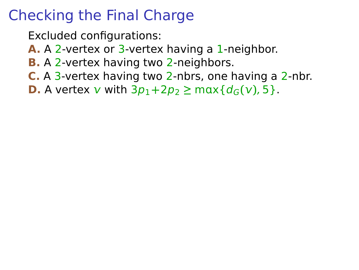- Excluded configurations:
- **A.** A 2-vertex or 3-vertex having a 1-neighbor.
- **B.** A 2-vertex having two 2-neighbors.
- **C.** A 3-vertex having two 2-nbrs, one having a 2-nbr.
- **D.** A vertex **v** with  $3p_1 + 2p_2 \ge \max\{d_G(v), 5\}$ .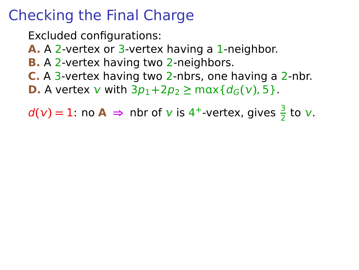Excluded configurations:

**A.** A 2-vertex or 3-vertex having a 1-neighbor.

- **B.** A 2-vertex having two 2-neighbors.
- **C.** A 3-vertex having two 2-nbrs, one having a 2-nbr.
- **D.** A vertex **v** with  $3p_1 + 2p_2 \ge \max\{d_G(v), 5\}$ .

 $d(v) = 1$ : no **A**  $\Rightarrow$  nbr of *v* is 4<sup>+</sup>-vertex, gives  $\frac{3}{2}$  to *v*.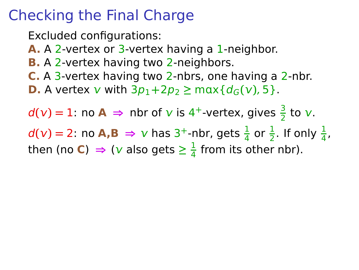Excluded configurations: **A.** A 2-vertex or 3-vertex having a 1-neighbor. **B.** A 2-vertex having two 2-neighbors. **C.** A 3-vertex having two 2-nbrs, one having a 2-nbr. **D.** A vertex **v** with  $3p_1 + 2p_2 \ge \max\{d_G(v), 5\}$ .  $d(v) = 1$ : no **A**  $\Rightarrow$  nbr of *v* is 4<sup>+</sup>-vertex, gives  $\frac{3}{2}$  to *v*.  $d(v) = 2$ : no **A,B**  $\Rightarrow$  *v* has 3<sup>+</sup>-nbr, gets  $\frac{1}{4}$  or  $\frac{1}{2}$ . If only  $\frac{1}{4}$ , then (no **C**)  $\Rightarrow$  (*v* also gets  $\geq \frac{1}{4}$  $\frac{1}{4}$  from its other nbr).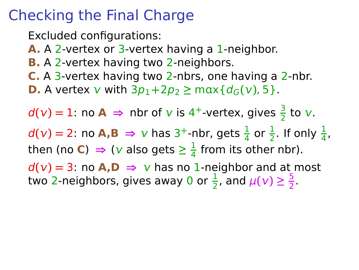Excluded configurations: **A.** A 2-vertex or 3-vertex having a 1-neighbor. **B.** A 2-vertex having two 2-neighbors. **C.** A 3-vertex having two 2-nbrs, one having a 2-nbr. **D.** A vertex **v** with  $3p_1 + 2p_2 \ge \max\{d_G(v), 5\}$ .  $d(v) = 1$ : no **A**  $\Rightarrow$  nbr of *v* is 4<sup>+</sup>-vertex, gives  $\frac{3}{2}$  to *v*.  $d(v) = 2$ : no **A,B**  $\Rightarrow$  *v* has 3<sup>+</sup>-nbr, gets  $\frac{1}{4}$  or  $\frac{1}{2}$ . If only  $\frac{1}{4}$ , then (no **C**)  $\Rightarrow$  (*v* also gets  $\geq \frac{1}{4}$  $\frac{1}{4}$  from its other nbr).  $d(v) = 3$ : no **A,D**  $\Rightarrow$  **v** has no 1-neighbor and at most two 2-neighbors, gives away 0 or  $\frac{1}{2}$ , and  $\mu(\nu) \geq \frac{5}{2}$  $\frac{3}{2}$ .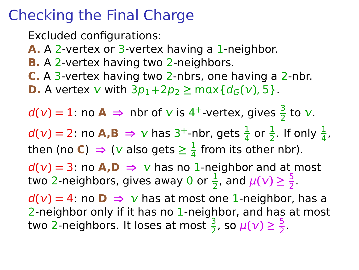# Checking the Final Charge

Excluded configurations: **A.** A 2-vertex or 3-vertex having a 1-neighbor. **B.** A 2-vertex having two 2-neighbors. **C.** A 3-vertex having two 2-nbrs, one having a 2-nbr. **D.** A vertex **v** with  $3p_1 + 2p_2 \ge \max\{d_G(v), 5\}$ .  $d(v) = 1$ : no **A**  $\Rightarrow$  nbr of *v* is 4<sup>+</sup>-vertex, gives  $\frac{3}{2}$  to *v*.  $d(v) = 2$ : no **A,B**  $\Rightarrow$  *v* has 3<sup>+</sup>-nbr, gets  $\frac{1}{4}$  or  $\frac{1}{2}$ . If only  $\frac{1}{4}$ , then (no **C**)  $\Rightarrow$  (*v* also gets  $\geq \frac{1}{4}$  $\frac{1}{4}$  from its other nbr).  $d(v) = 3$ : no **A,D**  $\Rightarrow$  **v** has no 1-neighbor and at most two 2-neighbors, gives away 0 or  $\frac{1}{2}$ , and  $\mu(\nu) \geq \frac{5}{2}$  $\frac{3}{2}$ .  $d(v) = 4$ : no  $D \Rightarrow v$  has at most one 1-neighbor, has a 2-neighbor only if it has no 1-neighbor, and has at most two 2-neighbors. It loses at most  $\frac{3}{2}$ , so  $\mu(\nu) \geq \frac{5}{2}$  $\frac{5}{2}$ .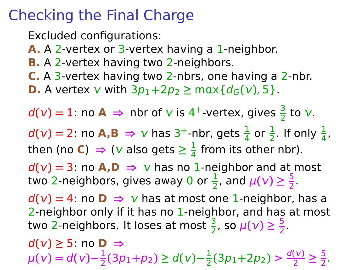## Checking the Final Charge

Excluded configurations: **A.** A 2-vertex or 3-vertex having a 1-neighbor. **B.** A 2-vertex having two 2-neighbors. **C.** A 3-vertex having two 2-nbrs, one having a 2-nbr. **D.** A vertex **v** with  $3p_1 + 2p_2 \ge \max\{d_G(v), 5\}$ .  $d(v) = 1$ : no **A**  $\Rightarrow$  nbr of *v* is 4<sup>+</sup>-vertex, gives  $\frac{3}{2}$  to *v*.  $d(v) = 2$ : no **A,B**  $\Rightarrow$  *v* has 3<sup>+</sup>-nbr, gets  $\frac{1}{4}$  or  $\frac{1}{2}$ . If only  $\frac{1}{4}$ , then (no **C**)  $\Rightarrow$  (*v* also gets  $\geq \frac{1}{4}$  $\frac{1}{4}$  from its other nbr).  $d(v) = 3$ : no **A,D**  $\Rightarrow$  **v** has no 1-neighbor and at most two 2-neighbors, gives away 0 or  $\frac{1}{2}$ , and  $\mu(\nu) \geq \frac{5}{2}$  $\frac{3}{2}$ .  $d(v) = 4$ : no  $D \Rightarrow v$  has at most one 1-neighbor, has a 2-neighbor only if it has no 1-neighbor, and has at most two 2-neighbors. It loses at most  $\frac{3}{2}$ , so  $\mu(\nu) \geq \frac{5}{2}$  $\frac{5}{2}$ .  $d(v) \ge 5$ : no **D** ⇒  $\mu(\nu) = d(\nu) - \frac{1}{2}$  $\frac{1}{2}(3p_1+p_2) \ge d(v)-\frac{1}{2}$  $\frac{1}{2}$ (3p<sub>1</sub>+2p<sub>2</sub>) >  $\frac{d(v)}{2}$  $\frac{v}{2} \geq \frac{5}{2}$  $\frac{5}{2}$ .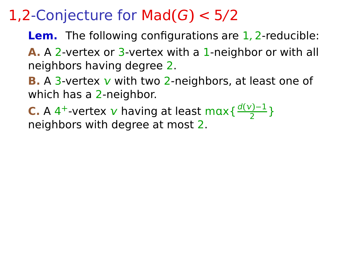## 1,2-Conjecture for Mad**(**G**)** < 5/2

- **Lem.** The following configurations are 1, 2-reducible:
- **A.** A 2-vertex or 3-vertex with a 1-neighbor or with all neighbors having degree 2.
- **B.** A 3-vertex  $v$  with two 2-neighbors, at least one of which has a 2-neighbor.
- **C.** A 4<sup>+</sup>-vertex v having at least max  $\frac{d(v)-1}{2}$  $\frac{2^{n+1}}{2}$ neighbors with degree at most 2.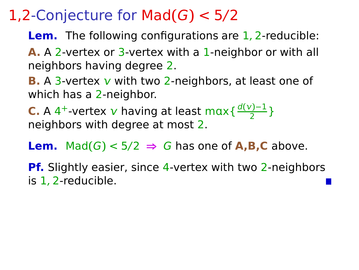## 1,2-Conjecture for Mad**(**G**)** < 5/2

- **Lem.** The following configurations are 1, 2-reducible:
- **A.** A 2-vertex or 3-vertex with a 1-neighbor or with all neighbors having degree 2.
- **B.** A 3-vertex  $v$  with two 2-neighbors, at least one of which has a 2-neighbor.
- **C.** A 4<sup>+</sup>-vertex v having at least max  $\frac{d(v)-1}{2}$  $\frac{2^{n+1}}{2}$ neighbors with degree at most 2.
- **Lem.** Mad $(G)$  < 5/2  $\Rightarrow$  G has one of **A,B,C** above.
- **Pf.** Slightly easier, since 4-vertex with two 2-neighbors is 1, 2-reducible.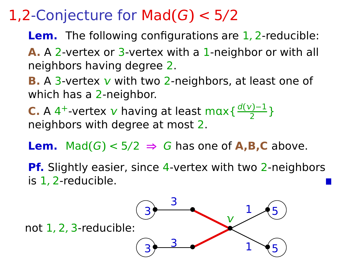## 1,2-Conjecture for Mad**(**G**)** < 5/2

**Lem.** The following configurations are 1, 2-reducible:

**A.** A 2-vertex or 3-vertex with a 1-neighbor or with all neighbors having degree 2.

**B.** A 3-vertex  $v$  with two 2-neighbors, at least one of which has a 2-neighbor.

**C.** A 4<sup>+</sup>-vertex v having at least max  $\frac{d(v)-1}{2}$  $\frac{2^{n+1}}{2}$ neighbors with degree at most 2.

**Lem.** Mad $(G)$  < 5/2  $\Rightarrow$  G has one of **A,B,C** above.

**Pf.** Slightly easier, since 4-vertex with two 2-neighbors is 1, 2-reducible.

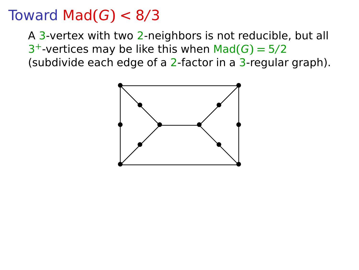#### Toward Mad $(G) < 8/3$

A 3-vertex with two 2-neighbors is not reducible, but all  $3^+$ -vertices may be like this when Mad $(G) = 5/2$ (subdivide each edge of a 2-factor in a 3-regular graph).

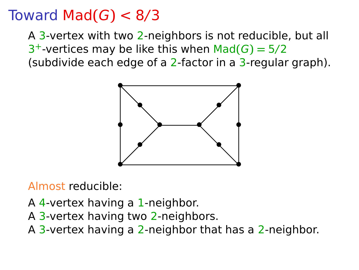### Toward Mad**(**G**)** < 8/3

A 3-vertex with two 2-neighbors is not reducible, but all  $3^+$ -vertices may be like this when Mad $(G) = 5/2$ (subdivide each edge of a 2-factor in a  $3$ -regular graph).



Almost reducible:

- A 4-vertex having a 1-neighbor.
- A 3-vertex having two 2-neighbors.
- A 3-vertex having a 2-neighbor that has a 2-neighbor.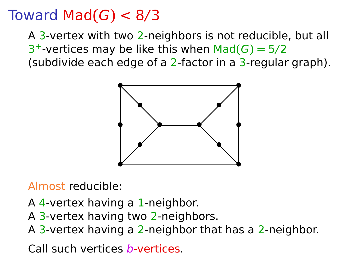### Toward Mad**(**G**)** < 8/3

A 3-vertex with two 2-neighbors is not reducible, but all  $3^+$ -vertices may be like this when Mad $(G) = 5/2$ (subdivide each edge of a 2-factor in a 3-regular graph).



Almost reducible:

- A 4-vertex having a 1-neighbor.
- A 3-vertex having two 2-neighbors.
- A 3-vertex having a 2-neighbor that has a 2-neighbor.

Call such vertices b-vertices.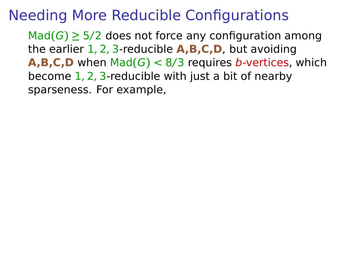$\text{Mad}(G) \geq 5/2$  does not force any configuration among the earlier 1, 2, 3-reducible **A,B,C,D**, but avoiding **A,B,C,D** when  $Mad(G) < 8/3$  requires b-vertices, which become 1, 2, 3-reducible with just a bit of nearby sparseness. For example,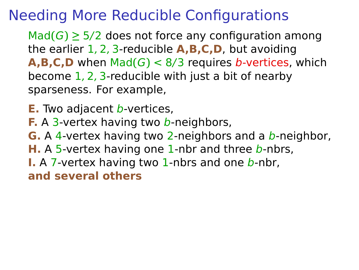$\text{Mad}(G) \geq 5/2$  does not force any configuration among the earlier 1, 2, 3-reducible **A,B,C,D**, but avoiding **A,B,C,D** when  $Mad(G) < 8/3$  requires b-vertices, which become 1, 2, 3-reducible with just a bit of nearby sparseness. For example,

- **E.** Two adjacent *b*-vertices,
- **F.** A 3-vertex having two b-neighbors,
- **G.** A 4-vertex having two 2-neighbors and a b-neighbor,
- **H.** A 5-vertex having one 1-nbr and three b-nbrs,
- **I.** A 7-vertex having two 1-nbrs and one b-nbr,

**and several others**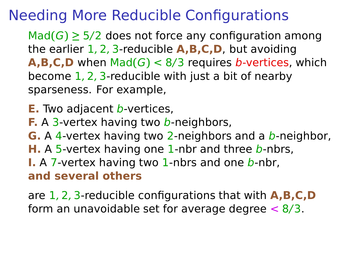$\text{Mad}(G) \geq 5/2$  does not force any configuration among the earlier 1, 2, 3-reducible **A,B,C,D**, but avoiding **A,B,C,D** when  $Mad(G) < 8/3$  requires b-vertices, which become 1, 2, 3-reducible with just a bit of nearby sparseness. For example,

- **E.** Two adjacent *b*-vertices,
- **F.** A 3-vertex having two b-neighbors,
- **G.** A 4-vertex having two 2-neighbors and a b-neighbor,
- **H.** A 5-vertex having one 1-nbr and three b-nbrs,
- **I.** A 7-vertex having two 1-nbrs and one b-nbr, **and several others**

are 1, 2, 3-reducible configurations that with **A,B,C,D** form an unavoidable set for average degree  $\lt 8/3$ .